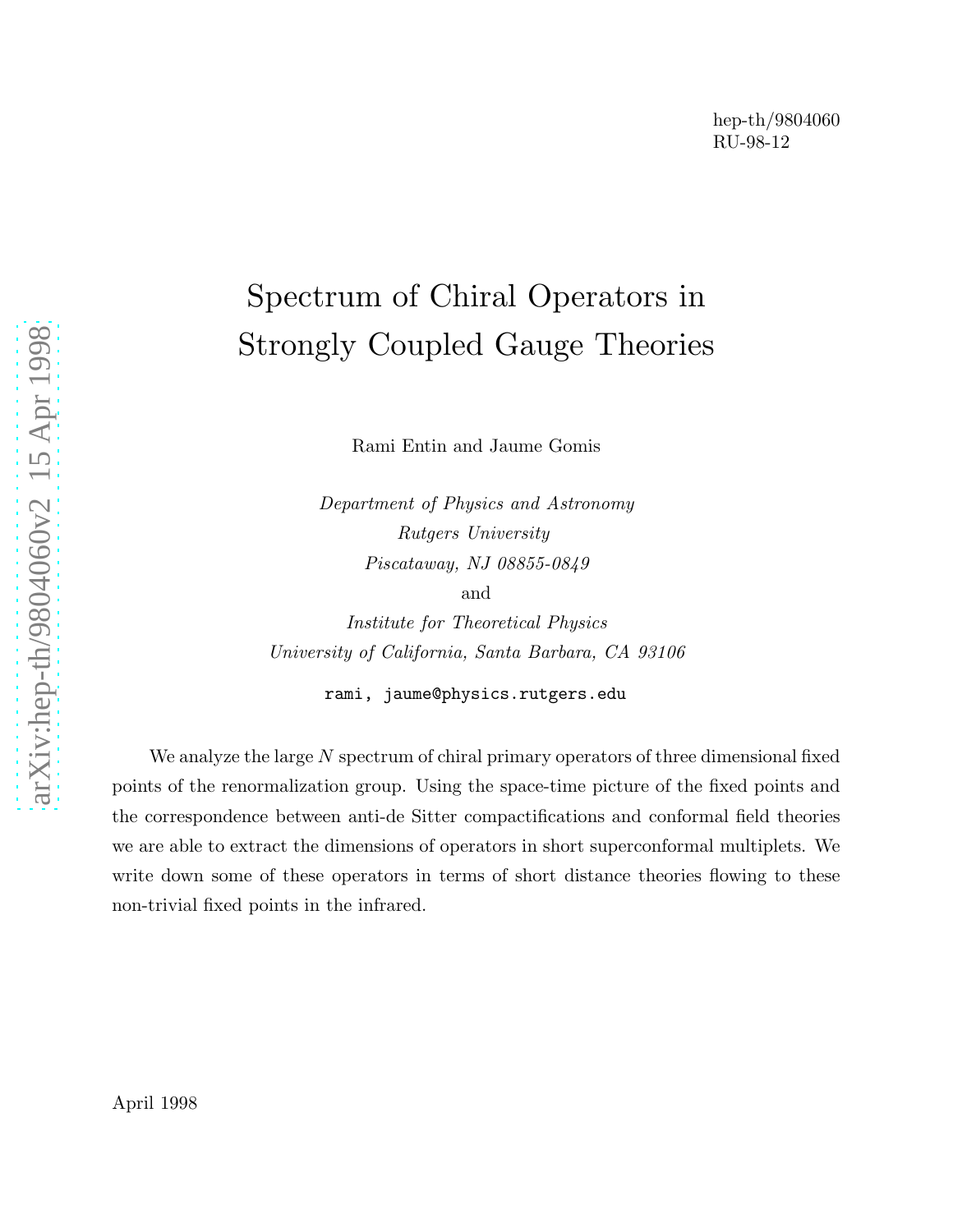# Spectrum of Chiral Operators in Strongly Coupled Gauge Theories

Rami Entin and Jaume Gomis

Department of Physics and Astronomy Rutgers University Piscataway, NJ 08855-0849 and

Institute for Theoretical Physics University of California, Santa Barbara, CA 93106

rami, jaume@physics.rutgers.edu

We analyze the large N spectrum of chiral primary operators of three dimensional fixed points of the renormalization group. Using the space-time picture of the fixed points and the correspondence between anti-de Sitter compactifications and conformal field theories we are able to extract the dimensions of operators in short superconformal multiplets. We write down some of these operators in terms of short distance theories flowing to these non-trivial fixed points in the infrared.

April 1998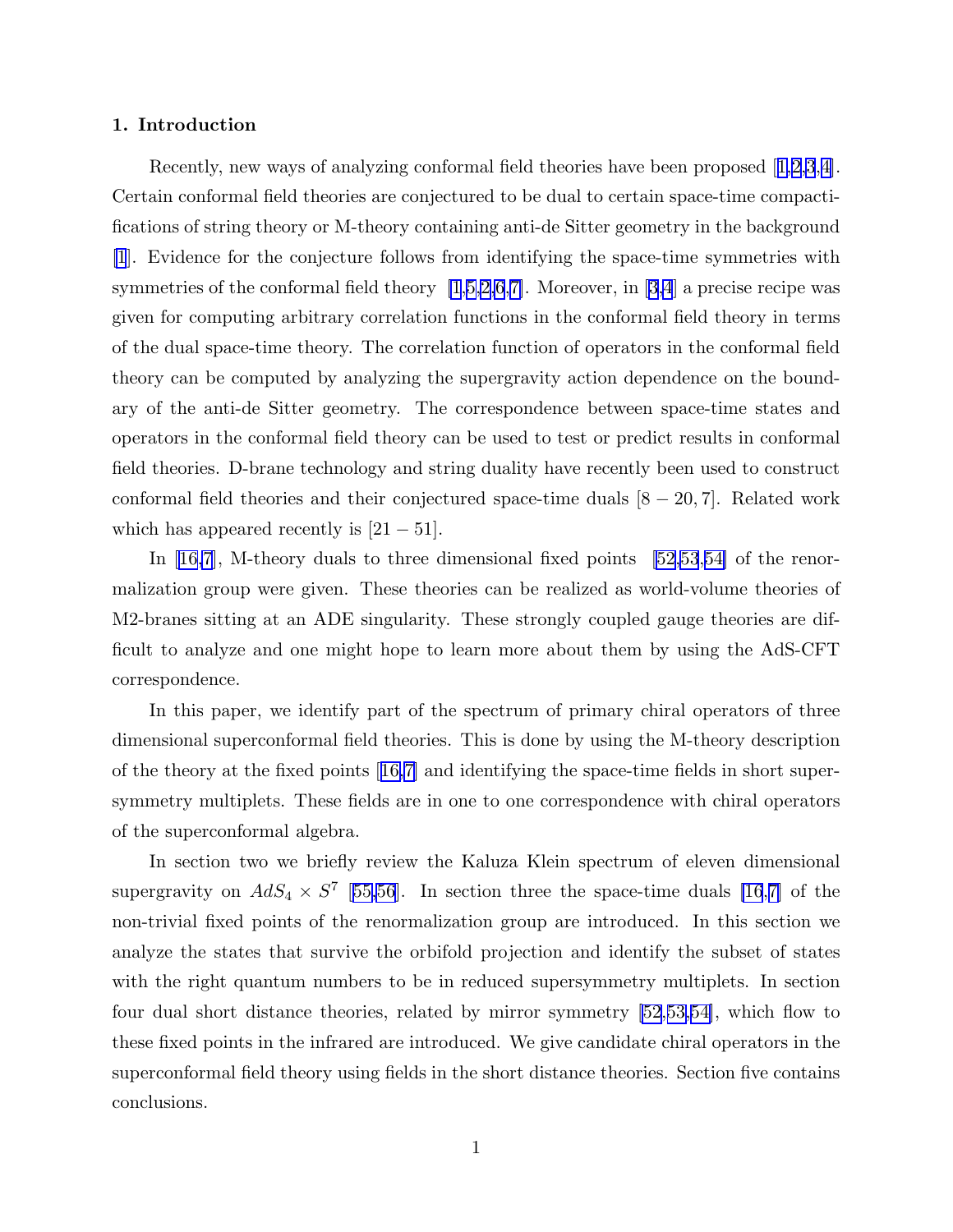#### 1. Introduction

Recently, new ways of analyzing conformal field theories have been proposed[[1,2,3](#page-12-0),[4\]](#page-12-0). Certain conformal field theories are conjectured to be dual to certain space-time compactifications of string theory or M-theory containing anti-de Sitter geometry in the background [\[1](#page-12-0)]. Evidence for the conjecture follows from identifying the space-time symmetries with symmetries of the conformal field theory  $[1,5,2,6,7]$  $[1,5,2,6,7]$  $[1,5,2,6,7]$  $[1,5,2,6,7]$ . Moreover, in [\[3,4](#page-12-0)] a precise recipe was given for computing arbitrary correlation functions in the conformal field theory in terms of the dual space-time theory. The correlation function of operators in the conformal field theory can be computed by analyzing the supergravity action dependence on the boundary of the anti-de Sitter geometry. The correspondence between space-time states and operators in the conformal field theory can be used to test or predict results in conformal field theories. D-brane technology and string duality have recently been used to construct conformal field theories and their conjectured space-time duals  $[8 - 20, 7]$ . Related work which has appeared recently is  $[21 - 51]$ .

In [\[16,7](#page-12-0)], M-theory duals to three dimensional fixed points[[52,53](#page-14-0),[54\]](#page-14-0) of the renormalization group were given. These theories can be realized as world-volume theories of M2-branes sitting at an ADE singularity. These strongly coupled gauge theories are difficult to analyze and one might hope to learn more about them by using the AdS-CFT correspondence.

In this paper, we identify part of the spectrum of primary chiral operators of three dimensional superconformal field theories. This is done by using the M-theory description of the theory at the fixed points[[16,7\]](#page-12-0) and identifying the space-time fields in short supersymmetry multiplets. These fields are in one to one correspondence with chiral operators of the superconformal algebra.

In section two we briefly review the Kaluza Klein spectrum of eleven dimensional supergravity on  $AdS_4 \times S^7$  [[55,56](#page-14-0)]. In section three the space-time duals [\[16](#page-12-0),[7\]](#page-12-0) of the non-trivial fixed points of the renormalization group are introduced. In this section we analyze the states that survive the orbifold projection and identify the subset of states with the right quantum numbers to be in reduced supersymmetry multiplets. In section four dual short distance theories, related by mirror symmetry [\[52](#page-14-0),[53,54\]](#page-14-0), which flow to these fixed points in the infrared are introduced. We give candidate chiral operators in the superconformal field theory using fields in the short distance theories. Section five contains conclusions.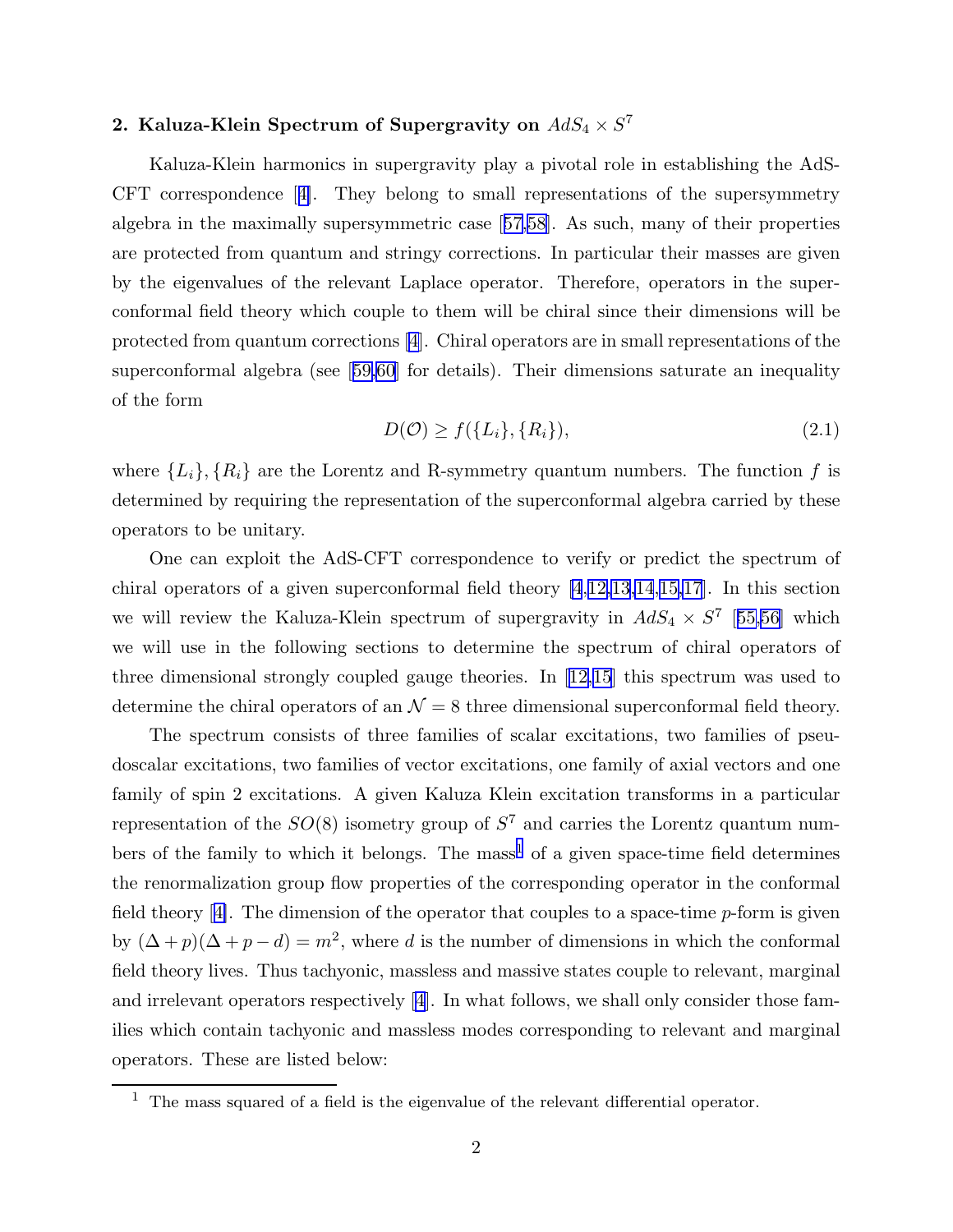## 2. Kaluza-Klein Spectrum of Supergravity on  $AdS_4\times S^7$

Kaluza-Klein harmonics in supergravity play a pivotal role in establishing the AdS-CFT correspondence[[4\]](#page-12-0). They belong to small representations of the supersymmetry algebra in the maximally supersymmetric case[[57,](#page-14-0)[58](#page-15-0)]. As such, many of their properties are protected from quantum and stringy corrections. In particular their masses are given by the eigenvalues of the relevant Laplace operator. Therefore, operators in the superconformal field theory which couple to them will be chiral since their dimensions will be protected from quantum corrections[[4](#page-12-0)]. Chiral operators are in small representations of the superconformal algebra (see[[59,60](#page-15-0)] for details). Their dimensions saturate an inequality of the form

$$
D(\mathcal{O}) \ge f(\lbrace L_i \rbrace, \lbrace R_i \rbrace),\tag{2.1}
$$

where  $\{L_i\}$ ,  $\{R_i\}$  are the Lorentz and R-symmetry quantum numbers. The function f is determined by requiring the representation of the superconformal algebra carried by these operators to be unitary.

One can exploit the AdS-CFT correspondence to verify or predict the spectrum of chiral operators of a given superconformal field theory [\[4](#page-12-0),[12,13,14](#page-12-0),[15,17](#page-12-0)]. In this section we will review the Kaluza-Klein spectrum of supergravity in  $AdS_4 \times S^7$  [[55,56](#page-14-0)] which we will use in the following sections to determine the spectrum of chiral operators of three dimensional strongly coupled gauge theories. In[[12,15](#page-12-0)] this spectrum was used to determine the chiral operators of an  $\mathcal{N} = 8$  three dimensional superconformal field theory.

The spectrum consists of three families of scalar excitations, two families of pseudoscalar excitations, two families of vector excitations, one family of axial vectors and one family of spin 2 excitations. A given Kaluza Klein excitation transforms in a particular representation of the  $SO(8)$  isometry group of  $S<sup>7</sup>$  and carries the Lorentz quantum numbers of the family to which it belongs. The mass<sup>1</sup> of a given space-time field determines the renormalization group flow properties of the corresponding operator in the conformal field theory[[4\]](#page-12-0). The dimension of the operator that couples to a space-time p-form is given by  $(\Delta + p)(\Delta + p - d) = m^2$ , where d is the number of dimensions in which the conformal field theory lives. Thus tachyonic, massless and massive states couple to relevant, marginal and irrelevant operators respectively [\[4](#page-12-0)]. In what follows, we shall only consider those families which contain tachyonic and massless modes corresponding to relevant and marginal operators. These are listed below:

 $<sup>1</sup>$  The mass squared of a field is the eigenvalue of the relevant differential operator.</sup>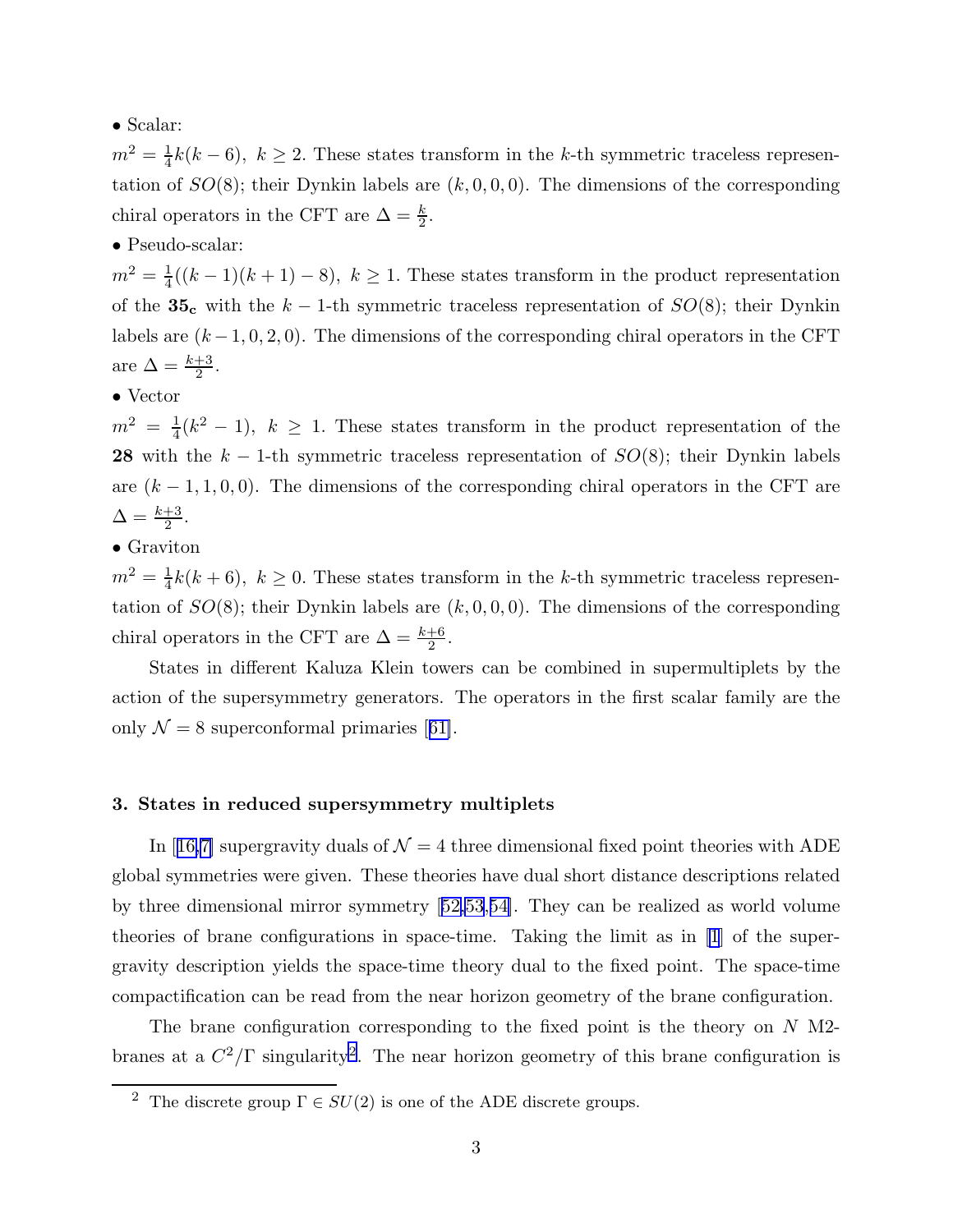## • Scalar:

 $m^2 = \frac{1}{4}$  $\frac{1}{4}k(k-6)$ ,  $k \geq 2$ . These states transform in the k-th symmetric traceless representation of  $SO(8)$ ; their Dynkin labels are  $(k, 0, 0, 0)$ . The dimensions of the corresponding chiral operators in the CFT are  $\Delta = \frac{k}{2}$ .

## • Pseudo-scalar:

 $m^2 = \frac{1}{4}$  $\frac{1}{4}((k-1)(k+1)-8), k \ge 1$ . These states transform in the product representation of the 35<sub>c</sub> with the k – 1-th symmetric traceless representation of  $SO(8)$ ; their Dynkin labels are  $(k-1, 0, 2, 0)$ . The dimensions of the corresponding chiral operators in the CFT are  $\Delta = \frac{k+3}{2}$ .

## • Vector

 $m^2 = \frac{1}{4}$  $\frac{1}{4}(k^2-1)$ ,  $k \geq 1$ . These states transform in the product representation of the 28 with the  $k-1$ -th symmetric traceless representation of  $SO(8)$ ; their Dynkin labels are  $(k-1,1,0,0)$ . The dimensions of the corresponding chiral operators in the CFT are  $\Delta = \frac{k+3}{2}.$ 

## • Graviton

 $m^2 = \frac{1}{4}$  $\frac{1}{4}k(k+6)$ ,  $k \geq 0$ . These states transform in the k-th symmetric traceless representation of  $SO(8)$ ; their Dynkin labels are  $(k, 0, 0, 0)$ . The dimensions of the corresponding chiral operators in the CFT are  $\Delta = \frac{k+6}{2}$ .

States in different Kaluza Klein towers can be combined in supermultiplets by the action of the supersymmetry generators. The operators in the first scalar family are the only $\mathcal{N} = 8$  superconformal primaries [[61\]](#page-15-0).

### 3. States in reduced supersymmetry multiplets

In[[16,7\]](#page-12-0) supergravity duals of  $\mathcal{N} = 4$  three dimensional fixed point theories with ADE global symmetries were given. These theories have dual short distance descriptions related by three dimensional mirror symmetry[[52,53](#page-14-0),[54\]](#page-14-0). They can be realized as world volume theories of brane configurations in space-time. Taking the limit as in [\[1](#page-12-0)] of the supergravity description yields the space-time theory dual to the fixed point. The space-time compactification can be read from the near horizon geometry of the brane configuration.

The brane configuration corresponding to the fixed point is the theory on  $N$  M2branes at a  $C^2/\Gamma$  singularity<sup>2</sup>. The near horizon geometry of this brane configuration is

<sup>&</sup>lt;sup>2</sup> The discrete group  $\Gamma \in SU(2)$  is one of the ADE discrete groups.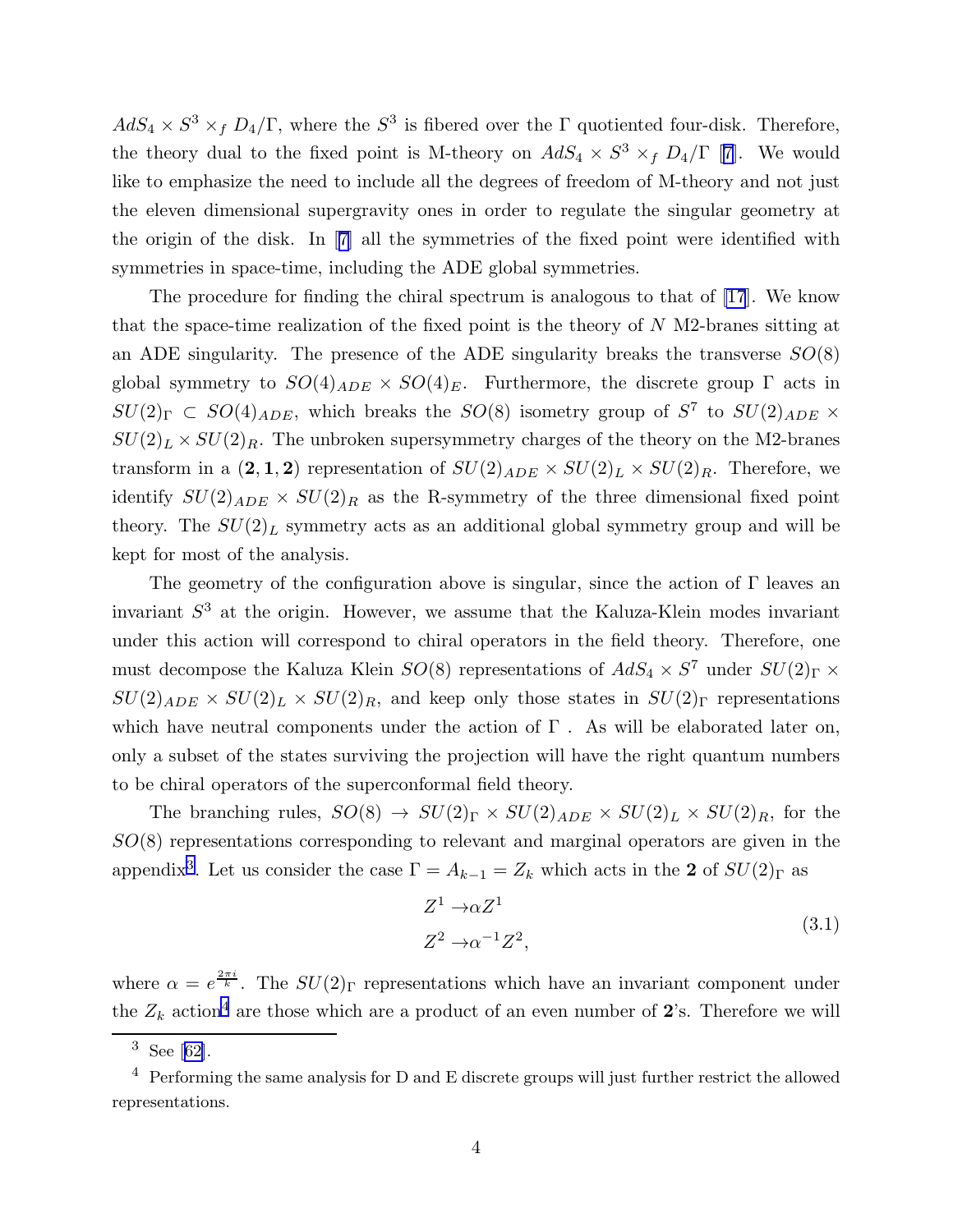$AdS_4 \times S^3 \times_f D_4/\Gamma$ , where the  $S^3$  is fibered over the  $\Gamma$  quotiented four-disk. Therefore, thetheory dual to the fixed point is M-theory on  $AdS_4 \times S^3 \times_f D_4/\Gamma$  [[7](#page-12-0)]. We would like to emphasize the need to include all the degrees of freedom of M-theory and not just the eleven dimensional supergravity ones in order to regulate the singular geometry at the origin of the disk. In[[7\]](#page-12-0) all the symmetries of the fixed point were identified with symmetries in space-time, including the ADE global symmetries.

The procedure for finding the chiral spectrum is analogous to that of [\[17](#page-12-0)]. We know that the space-time realization of the fixed point is the theory of  $N$  M2-branes sitting at an ADE singularity. The presence of the ADE singularity breaks the transverse  $SO(8)$ global symmetry to  $SO(4)_{ADE} \times SO(4)_E$ . Furthermore, the discrete group  $\Gamma$  acts in  $SU(2)_{\Gamma} \subset SO(4)_{ADE}$ , which breaks the  $SO(8)$  isometry group of  $S^7$  to  $SU(2)_{ADE} \times$  $SU(2)_L \times SU(2)_R$ . The unbroken supersymmetry charges of the theory on the M2-branes transform in a  $(2,1,2)$  representation of  $SU(2)_{ADE} \times SU(2)_L \times SU(2)_R$ . Therefore, we identify  $SU(2)_{ADE} \times SU(2)_R$  as the R-symmetry of the three dimensional fixed point theory. The  $SU(2)_L$  symmetry acts as an additional global symmetry group and will be kept for most of the analysis.

The geometry of the configuration above is singular, since the action of  $\Gamma$  leaves an invariant  $S<sup>3</sup>$  at the origin. However, we assume that the Kaluza-Klein modes invariant under this action will correspond to chiral operators in the field theory. Therefore, one must decompose the Kaluza Klein  $SO(8)$  representations of  $AdS_4 \times S^7$  under  $SU(2)_\Gamma \times$  $SU(2)_{ADE} \times SU(2)_L \times SU(2)_R$ , and keep only those states in  $SU(2)_\Gamma$  representations which have neutral components under the action of  $\Gamma$ . As will be elaborated later on, only a subset of the states surviving the projection will have the right quantum numbers to be chiral operators of the superconformal field theory.

The branching rules,  $SO(8) \rightarrow SU(2)_{\Gamma} \times SU(2)_{ADE} \times SU(2)_{L} \times SU(2)_{R}$ , for the  $SO(8)$  representations corresponding to relevant and marginal operators are given in the appendix<sup>3</sup>. Let us consider the case  $\Gamma = A_{k-1} = Z_k$  which acts in the 2 of  $SU(2)_{\Gamma}$  as

$$
Z^{1} \to \alpha Z^{1}
$$
  
\n
$$
Z^{2} \to \alpha^{-1} Z^{2},
$$
\n(3.1)

where  $\alpha = e^{\frac{2\pi i}{k}}$ . The  $SU(2)$ <sub>F</sub> representations which have an invariant component under the  $Z_k$  action<sup>4</sup> are those which are a product of an even number of 2's. Therefore we will

 $3$ See [[62\]](#page-15-0).

 $4$  Performing the same analysis for D and E discrete groups will just further restrict the allowed representations.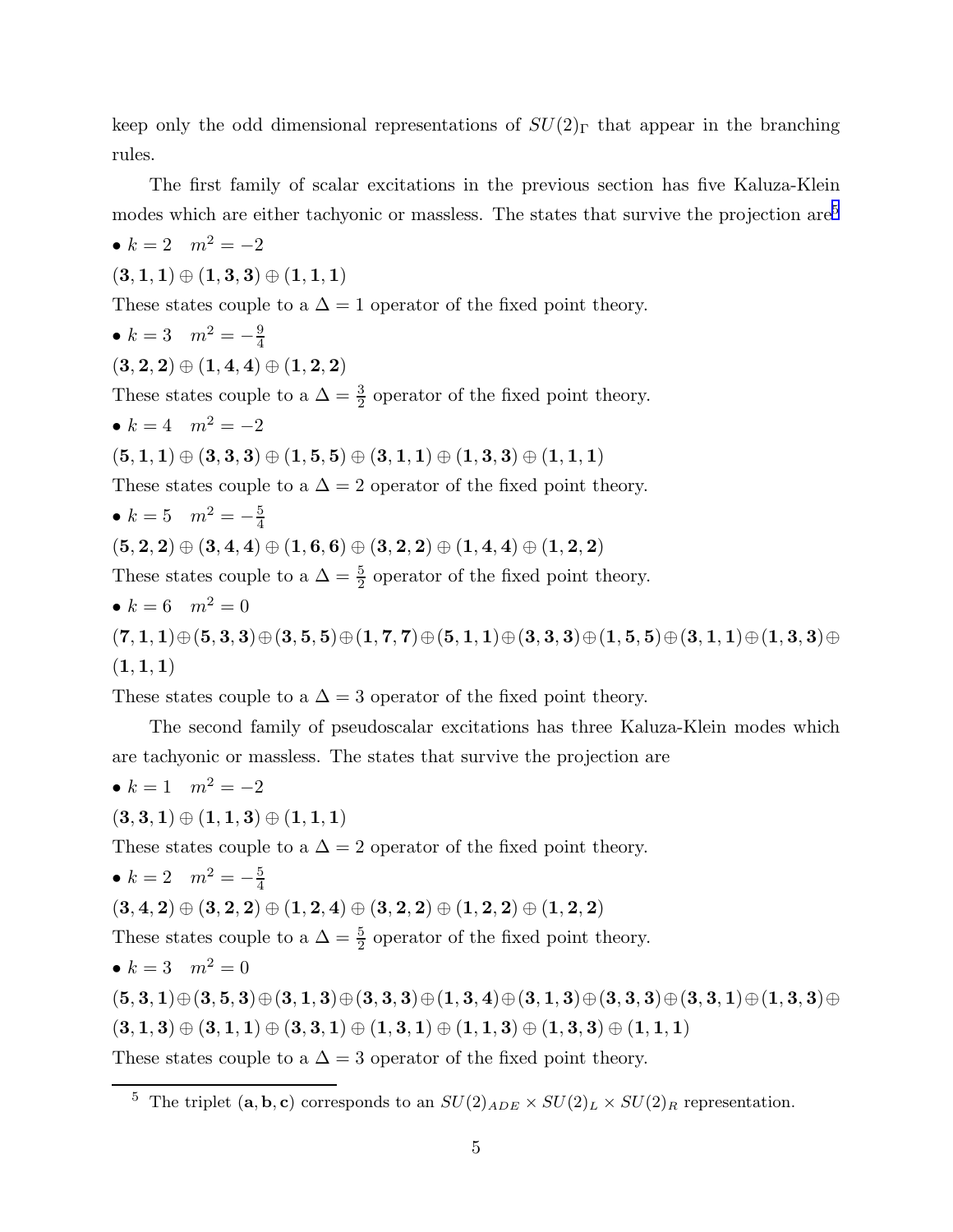keep only the odd dimensional representations of  $SU(2)$ <sub>Γ</sub> that appear in the branching rules.

The first family of scalar excitations in the previous section has five Kaluza-Klein modes which are either tachyonic or massless. The states that survive the projection are<sup>5</sup>

•  $k = 2$   $m^2 = -2$  $(3, 1, 1) \oplus (1, 3, 3) \oplus (1, 1, 1)$ These states couple to a  $\Delta = 1$  operator of the fixed point theory. •  $k = 3$   $m^2 = -\frac{9}{4}$ 4  $(3, 2, 2) \oplus (1, 4, 4) \oplus (1, 2, 2)$ These states couple to a  $\Delta = \frac{3}{2}$  operator of the fixed point theory. •  $k = 4$   $m^2 = -2$  $(5,1,1) \oplus (3,3,3) \oplus (1,5,5) \oplus (3,1,1) \oplus (1,3,3) \oplus (1,1,1)$ These states couple to a  $\Delta = 2$  operator of the fixed point theory. •  $k = 5$   $m^2 = -\frac{5}{4}$ 4  $(5, 2, 2) \oplus (3, 4, 4) \oplus (1, 6, 6) \oplus (3, 2, 2) \oplus (1, 4, 4) \oplus (1, 2, 2)$ These states couple to a  $\Delta = \frac{5}{2}$  operator of the fixed point theory. •  $k = 6$   $m^2 = 0$  $(7, 1, 1) \oplus (5, 3, 3) \oplus (3, 5, 5) \oplus (1, 7, 7) \oplus (5, 1, 1) \oplus (3, 3, 3) \oplus (1, 5, 5) \oplus (3, 1, 1) \oplus (1, 3, 3) \oplus$  $(1, 1, 1)$ 

These states couple to a  $\Delta = 3$  operator of the fixed point theory.

The second family of pseudoscalar excitations has three Kaluza-Klein modes which are tachyonic or massless. The states that survive the projection are

•  $k = 1$   $m^2 = -2$  $(3, 3, 1) \oplus (1, 1, 3) \oplus (1, 1, 1)$ These states couple to a  $\Delta = 2$  operator of the fixed point theory. •  $k = 2$   $m^2 = -\frac{5}{4}$ 4  $(3, 4, 2) \oplus (3, 2, 2) \oplus (1, 2, 4) \oplus (3, 2, 2) \oplus (1, 2, 2) \oplus (1, 2, 2)$ These states couple to a  $\Delta = \frac{5}{2}$  operator of the fixed point theory. •  $k = 3$   $m^2 = 0$  $(5, 3, 1) \oplus (3, 5, 3) \oplus (3, 1, 3) \oplus (3, 3, 3) \oplus (1, 3, 4) \oplus (3, 1, 3) \oplus (3, 3, 3) \oplus (3, 3, 1) \oplus (1, 3, 3) \oplus$  $(3, 1, 3) \oplus (3, 1, 1) \oplus (3, 3, 1) \oplus (1, 3, 1) \oplus (1, 1, 3) \oplus (1, 3, 3) \oplus (1, 1, 1)$ These states couple to a  $\Delta = 3$  operator of the fixed point theory.

<sup>&</sup>lt;sup>5</sup> The triplet (a, b, c) corresponds to an  $SU(2)_{ADE} \times SU(2)_L \times SU(2)_R$  representation.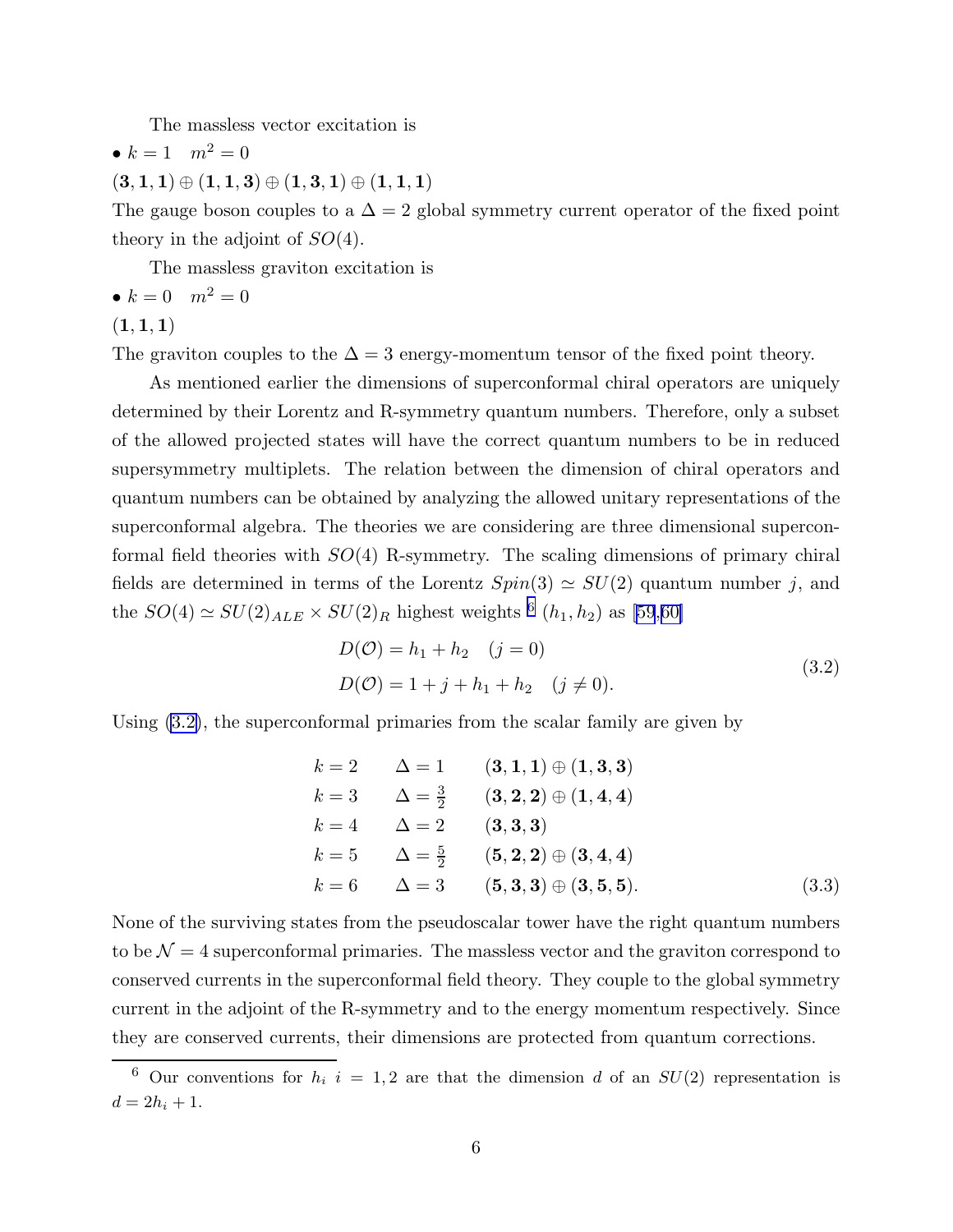The massless vector excitation is

<span id="page-6-0"></span>
$$
\bullet \ k=1 \quad m^2=0
$$

 $(3,1,1) \oplus (1,1,3) \oplus (1,3,1) \oplus (1,1,1)$ 

The gauge boson couples to a  $\Delta = 2$  global symmetry current operator of the fixed point theory in the adjoint of  $SO(4)$ .

The massless graviton excitation is

$$
\bullet \ k = 0 \quad m^2 = 0
$$

 $(1, 1, 1)$ 

The graviton couples to the  $\Delta = 3$  energy-momentum tensor of the fixed point theory.

As mentioned earlier the dimensions of superconformal chiral operators are uniquely determined by their Lorentz and R-symmetry quantum numbers. Therefore, only a subset of the allowed projected states will have the correct quantum numbers to be in reduced supersymmetry multiplets. The relation between the dimension of chiral operators and quantum numbers can be obtained by analyzing the allowed unitary representations of the superconformal algebra. The theories we are considering are three dimensional superconformal field theories with  $SO(4)$  R-symmetry. The scaling dimensions of primary chiral fields are determined in terms of the Lorentz  $Spin(3) \simeq SU(2)$  quantum number j, and the  $SO(4) \simeq SU(2)_{ALE} \times SU(2)_R$  highest weights <sup>6</sup>  $(h_1, h_2)$  as [\[59](#page-15-0),[60\]](#page-15-0)

$$
D(\mathcal{O}) = h_1 + h_2 \quad (j = 0)
$$
  
\n
$$
D(\mathcal{O}) = 1 + j + h_1 + h_2 \quad (j \neq 0).
$$
\n(3.2)

Using (3.2), the superconformal primaries from the scalar family are given by

$$
k = 2 \qquad \Delta = 1 \qquad (3, 1, 1) \oplus (1, 3, 3)
$$
  
\n
$$
k = 3 \qquad \Delta = \frac{3}{2} \qquad (3, 2, 2) \oplus (1, 4, 4)
$$
  
\n
$$
k = 4 \qquad \Delta = 2 \qquad (3, 3, 3)
$$
  
\n
$$
k = 5 \qquad \Delta = \frac{5}{2} \qquad (5, 2, 2) \oplus (3, 4, 4)
$$
  
\n
$$
k = 6 \qquad \Delta = 3 \qquad (5, 3, 3) \oplus (3, 5, 5).
$$
  
\n(3.3)

None of the surviving states from the pseudoscalar tower have the right quantum numbers to be  $\mathcal{N} = 4$  superconformal primaries. The massless vector and the graviton correspond to conserved currents in the superconformal field theory. They couple to the global symmetry current in the adjoint of the R-symmetry and to the energy momentum respectively. Since they are conserved currents, their dimensions are protected from quantum corrections.

<sup>&</sup>lt;sup>6</sup> Our conventions for  $h_i$  i = 1, 2 are that the dimension d of an  $SU(2)$  representation is  $d = 2h_i + 1.$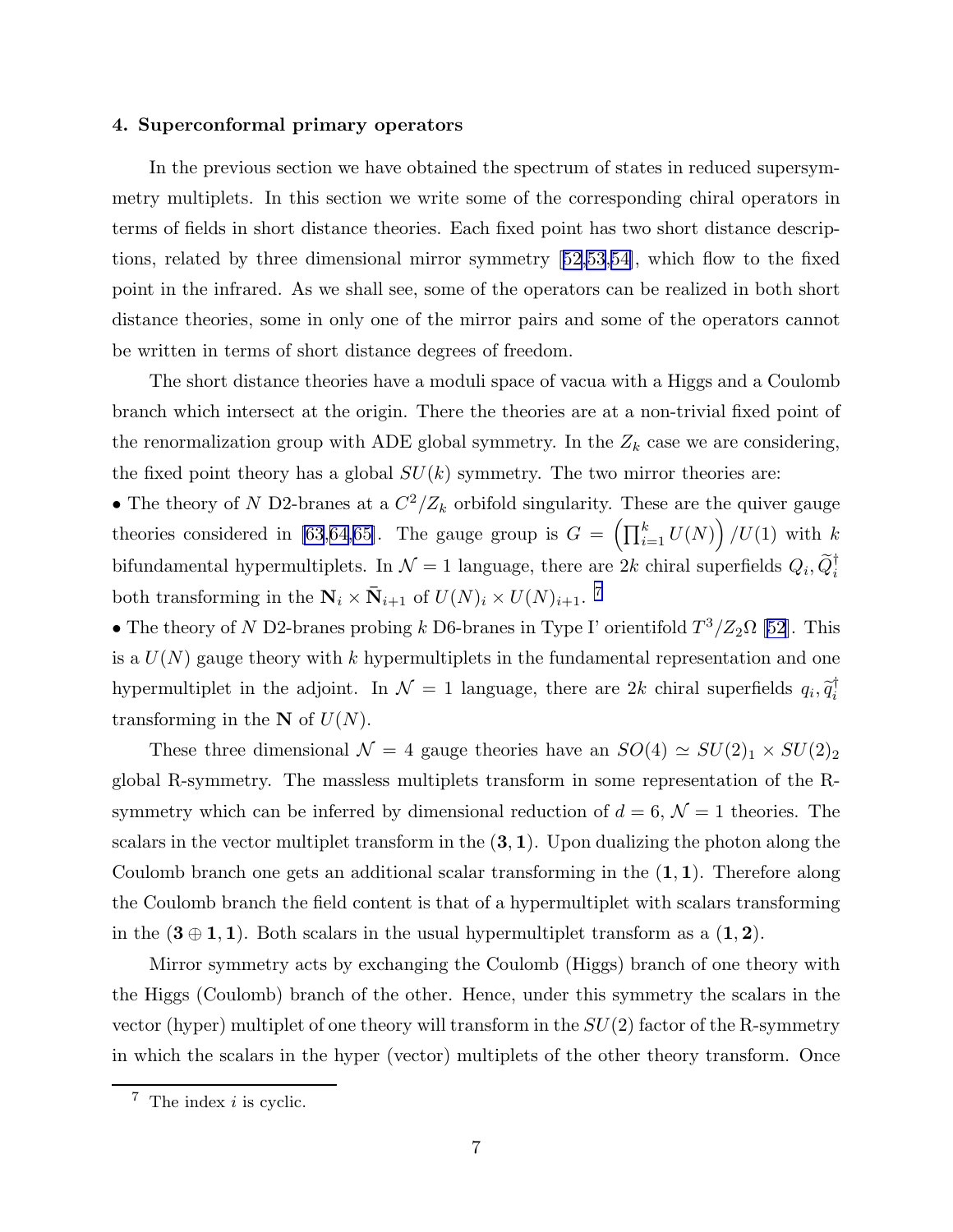#### 4. Superconformal primary operators

In the previous section we have obtained the spectrum of states in reduced supersymmetry multiplets. In this section we write some of the corresponding chiral operators in terms of fields in short distance theories. Each fixed point has two short distance descriptions, related by three dimensional mirror symmetry[[52,53](#page-14-0),[54\]](#page-14-0), which flow to the fixed point in the infrared. As we shall see, some of the operators can be realized in both short distance theories, some in only one of the mirror pairs and some of the operators cannot be written in terms of short distance degrees of freedom.

The short distance theories have a moduli space of vacua with a Higgs and a Coulomb branch which intersect at the origin. There the theories are at a non-trivial fixed point of the renormalization group with ADE global symmetry. In the  $Z_k$  case we are considering, the fixed point theory has a global  $SU(k)$  symmetry. The two mirror theories are:

• The theory of N D2-branes at a  $C^2/Z_k$  orbifold singularity. These are the quiver gauge theories considered in [\[63](#page-15-0),[64,65](#page-15-0)]. The gauge group is  $G = \left(\prod_{i=1}^{k} U(N)\right) / U(1)$  with k bifundamental hypermultiplets. In  $\mathcal{N}=1$  language, there are  $2k$  chiral superfields  $Q_i, \tilde{Q}_i^{\dagger}$ both transforming in the  $\mathbf{N}_i \times \bar{\mathbf{N}}_{i+1}$  of  $U(N)_i \times U(N)_{i+1}$ .<sup>7</sup>

• The theory of N D2-branes probing k D6-branes in Type I' orientifold  $T^3/Z_2\Omega$  [\[52](#page-14-0)]. This is a  $U(N)$  gauge theory with k hypermultiplets in the fundamental representation and one hypermultiplet in the adjoint. In  $\mathcal{N}=1$  language, there are 2k chiral superfields  $q_i, \tilde{q}_i^{\dagger}$ i transforming in the  $N$  of  $U(N)$ .

These three dimensional  $\mathcal{N} = 4$  gauge theories have an  $SO(4) \simeq SU(2)_1 \times SU(2)_2$ global R-symmetry. The massless multiplets transform in some representation of the Rsymmetry which can be inferred by dimensional reduction of  $d = 6, \mathcal{N} = 1$  theories. The scalars in the vector multiplet transform in the  $(3, 1)$ . Upon dualizing the photon along the Coulomb branch one gets an additional scalar transforming in the  $(1, 1)$ . Therefore along the Coulomb branch the field content is that of a hypermultiplet with scalars transforming in the  $(3 \oplus 1, 1)$ . Both scalars in the usual hypermultiplet transform as a  $(1, 2)$ .

Mirror symmetry acts by exchanging the Coulomb (Higgs) branch of one theory with the Higgs (Coulomb) branch of the other. Hence, under this symmetry the scalars in the vector (hyper) multiplet of one theory will transform in the  $SU(2)$  factor of the R-symmetry in which the scalars in the hyper (vector) multiplets of the other theory transform. Once

 $7$  The index *i* is cyclic.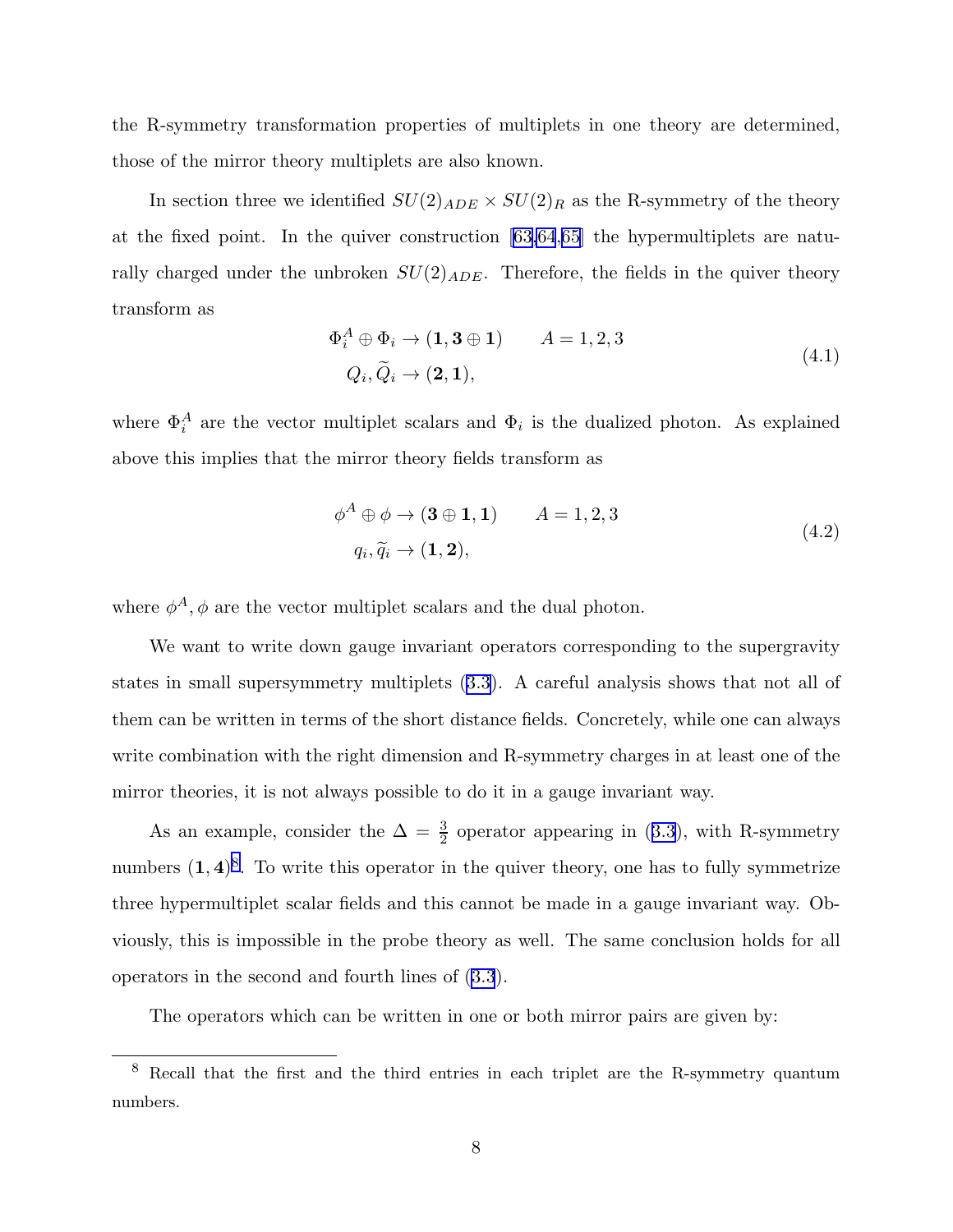the R-symmetry transformation properties of multiplets in one theory are determined, those of the mirror theory multiplets are also known.

In section three we identified  $SU(2)_{ADE} \times SU(2)_R$  as the R-symmetry of the theory at the fixed point. In the quiver construction [\[63,64](#page-15-0),[65\]](#page-15-0) the hypermultiplets are naturally charged under the unbroken  $SU(2)_{ADE}$ . Therefore, the fields in the quiver theory transform as

$$
\Phi_i^A \oplus \Phi_i \to (1, 3 \oplus 1) \qquad A = 1, 2, 3
$$
  

$$
Q_i, \widetilde{Q}_i \to (2, 1), \qquad (4.1)
$$

where  $\Phi_i^A$  are the vector multiplet scalars and  $\Phi_i$  is the dualized photon. As explained above this implies that the mirror theory fields transform as

$$
\phi^A \oplus \phi \to (\mathbf{3} \oplus \mathbf{1}, \mathbf{1}) \qquad A = 1, 2, 3
$$
  

$$
q_i, \widetilde{q}_i \to (\mathbf{1}, \mathbf{2}), \qquad (4.2)
$$

where  $\phi^A$ ,  $\phi$  are the vector multiplet scalars and the dual photon.

We want to write down gauge invariant operators corresponding to the supergravity states in small supersymmetry multiplets([3.3](#page-6-0)). A careful analysis shows that not all of them can be written in terms of the short distance fields. Concretely, while one can always write combination with the right dimension and R-symmetry charges in at least one of the mirror theories, it is not always possible to do it in a gauge invariant way.

Asan example, consider the  $\Delta = \frac{3}{2}$  operator appearing in ([3.3](#page-6-0)), with R-symmetry numbers  $(1, 4)^8$ . To write this operator in the quiver theory, one has to fully symmetrize three hypermultiplet scalar fields and this cannot be made in a gauge invariant way. Obviously, this is impossible in the probe theory as well. The same conclusion holds for all operators in the second and fourth lines of [\(3.3](#page-6-0)).

The operators which can be written in one or both mirror pairs are given by:

<sup>8</sup> Recall that the first and the third entries in each triplet are the R-symmetry quantum numbers.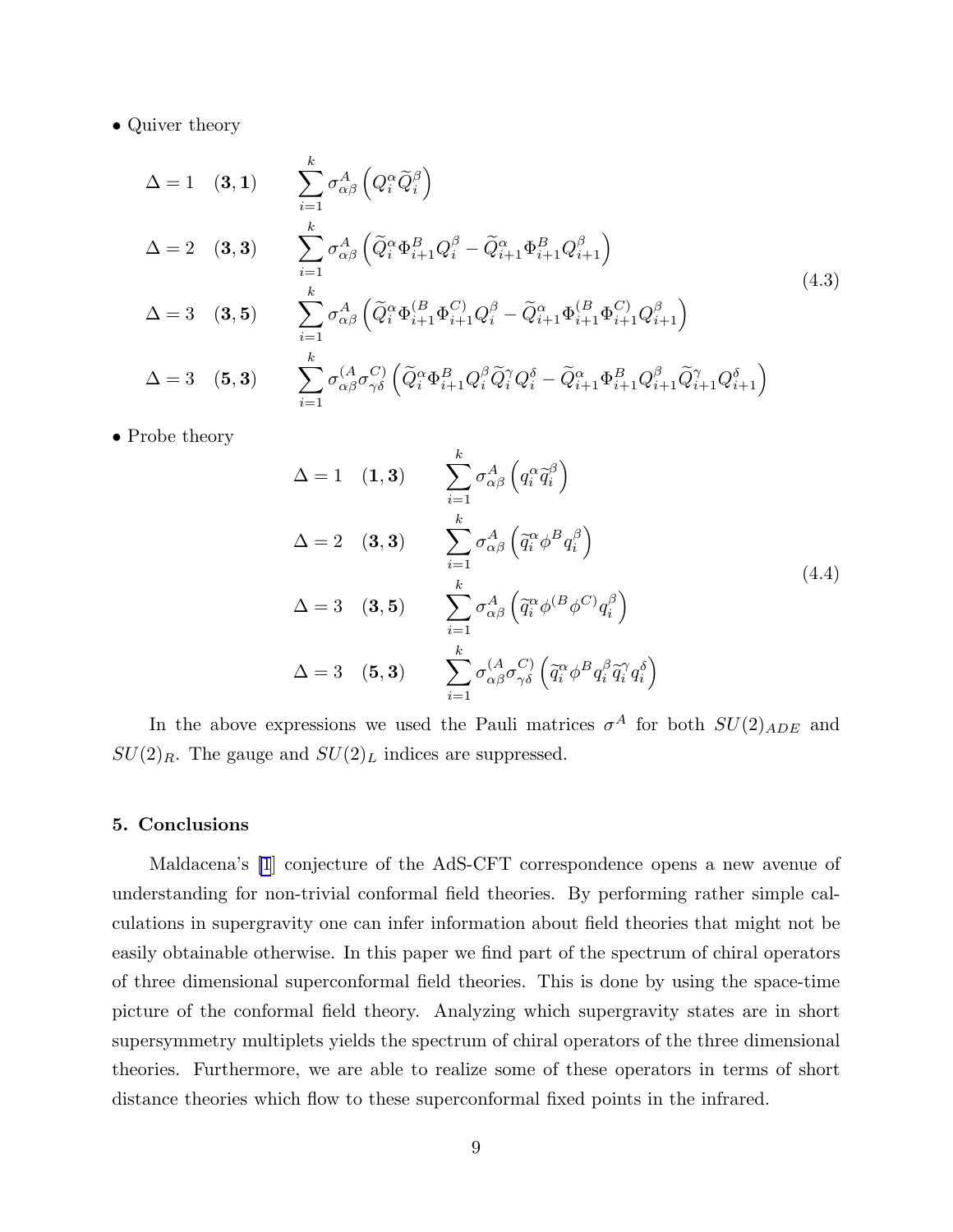• Quiver theory

$$
\Delta = 1 \quad (3, 1) \qquad \sum_{i=1}^{k} \sigma_{\alpha\beta}^{A} \left( Q_{i}^{\alpha} \tilde{Q}_{i}^{\beta} \right)
$$
\n
$$
\Delta = 2 \quad (3, 3) \qquad \sum_{i=1}^{k} \sigma_{\alpha\beta}^{A} \left( \tilde{Q}_{i}^{\alpha} \Phi_{i+1}^{B} Q_{i}^{\beta} - \tilde{Q}_{i+1}^{\alpha} \Phi_{i+1}^{B} Q_{i+1}^{\beta} \right)
$$
\n
$$
\Delta = 3 \quad (3, 5) \qquad \sum_{i=1}^{k} \sigma_{\alpha\beta}^{A} \left( \tilde{Q}_{i}^{\alpha} \Phi_{i+1}^{(B)} \Phi_{i+1}^{C} Q_{i}^{\beta} - \tilde{Q}_{i+1}^{\alpha} \Phi_{i+1}^{(B)} \Phi_{i+1}^{C} Q_{i+1}^{\beta} \right)
$$
\n
$$
\Delta = 3 \quad (5, 3) \qquad \sum_{i=1}^{k} \sigma_{\alpha\beta}^{(A} \sigma_{\gamma\delta}^{C} \left( \tilde{Q}_{i}^{\alpha} \Phi_{i+1}^{B} Q_{i}^{\beta} \tilde{Q}_{i}^{\gamma} Q_{i}^{\delta} - \tilde{Q}_{i+1}^{\alpha} \Phi_{i+1}^{B} Q_{i+1}^{\beta} \tilde{Q}_{i+1}^{\gamma} Q_{i+1}^{\delta} \right)
$$
\n
$$
(4.3)
$$

• Probe theory

$$
\Delta = 1 \quad (1,3) \qquad \sum_{i=1}^{k} \sigma_{\alpha\beta}^{A} \left( q_{i}^{\alpha} \tilde{q}_{i}^{\beta} \right)
$$
  
\n
$$
\Delta = 2 \quad (3,3) \qquad \sum_{i=1}^{k} \sigma_{\alpha\beta}^{A} \left( \tilde{q}_{i}^{\alpha} \phi^{B} q_{i}^{\beta} \right)
$$
  
\n
$$
\Delta = 3 \quad (3,5) \qquad \sum_{i=1}^{k} \sigma_{\alpha\beta}^{A} \left( \tilde{q}_{i}^{\alpha} \phi^{(B} \phi^{C)} q_{i}^{\beta} \right)
$$
  
\n
$$
\Delta = 3 \quad (5,3) \qquad \sum_{i=1}^{k} \sigma_{\alpha\beta}^{(A} \sigma_{\gamma\delta}^{C)} \left( \tilde{q}_{i}^{\alpha} \phi^{B} q_{i}^{\beta} \tilde{q}_{i}^{\gamma} q_{i}^{\delta} \right)
$$
  
\n(4.4)

In the above expressions we used the Pauli matrices  $\sigma^A$  for both  $SU(2)_{ADE}$  and  $SU(2)_R$ . The gauge and  $SU(2)_L$  indices are suppressed.

## 5. Conclusions

Maldacena's [\[1](#page-12-0)] conjecture of the AdS-CFT correspondence opens a new avenue of understanding for non-trivial conformal field theories. By performing rather simple calculations in supergravity one can infer information about field theories that might not be easily obtainable otherwise. In this paper we find part of the spectrum of chiral operators of three dimensional superconformal field theories. This is done by using the space-time picture of the conformal field theory. Analyzing which supergravity states are in short supersymmetry multiplets yields the spectrum of chiral operators of the three dimensional theories. Furthermore, we are able to realize some of these operators in terms of short distance theories which flow to these superconformal fixed points in the infrared.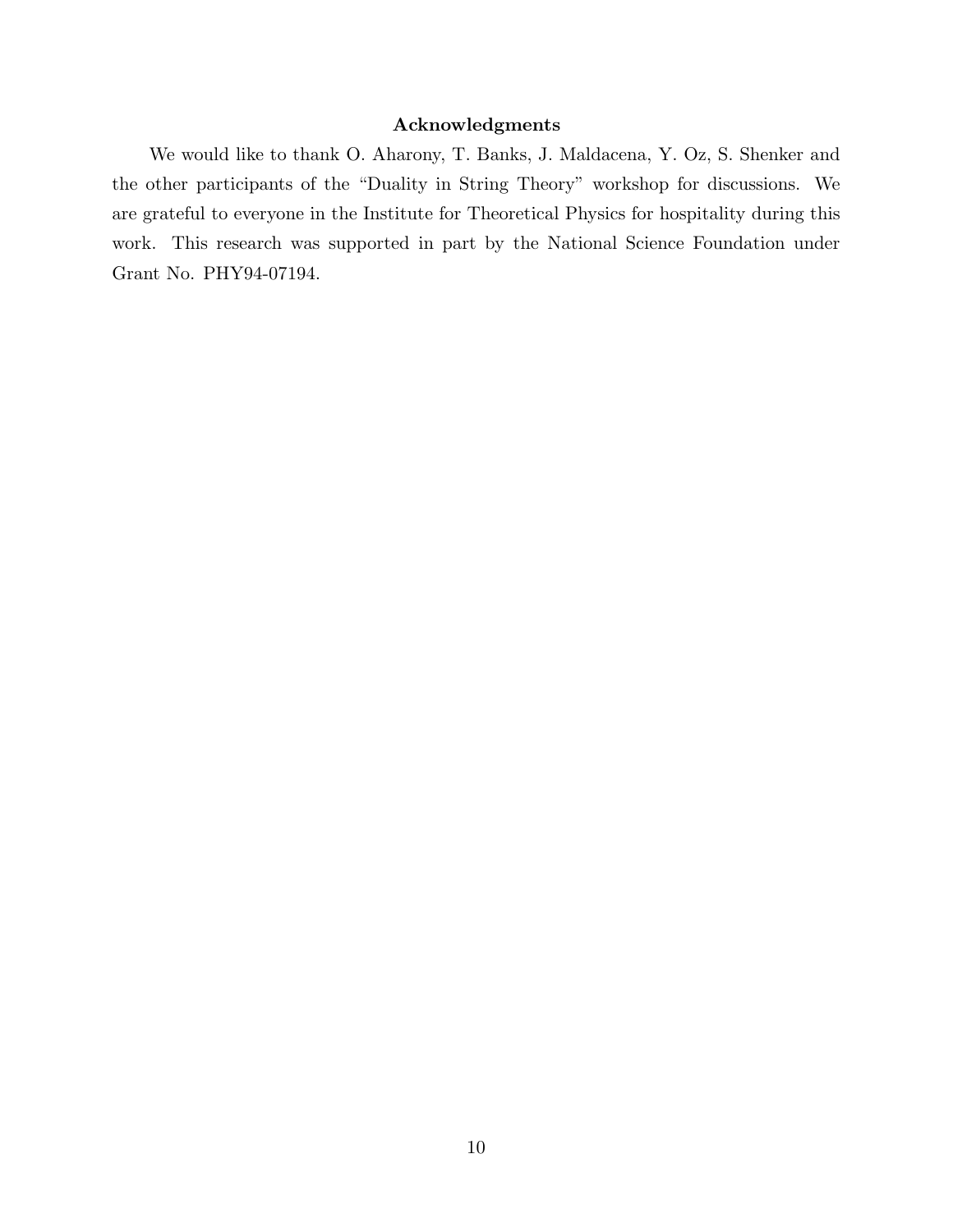## Acknowledgments

We would like to thank O. Aharony, T. Banks, J. Maldacena, Y. Oz, S. Shenker and the other participants of the "Duality in String Theory" workshop for discussions. We are grateful to everyone in the Institute for Theoretical Physics for hospitality during this work. This research was supported in part by the National Science Foundation under Grant No. PHY94-07194.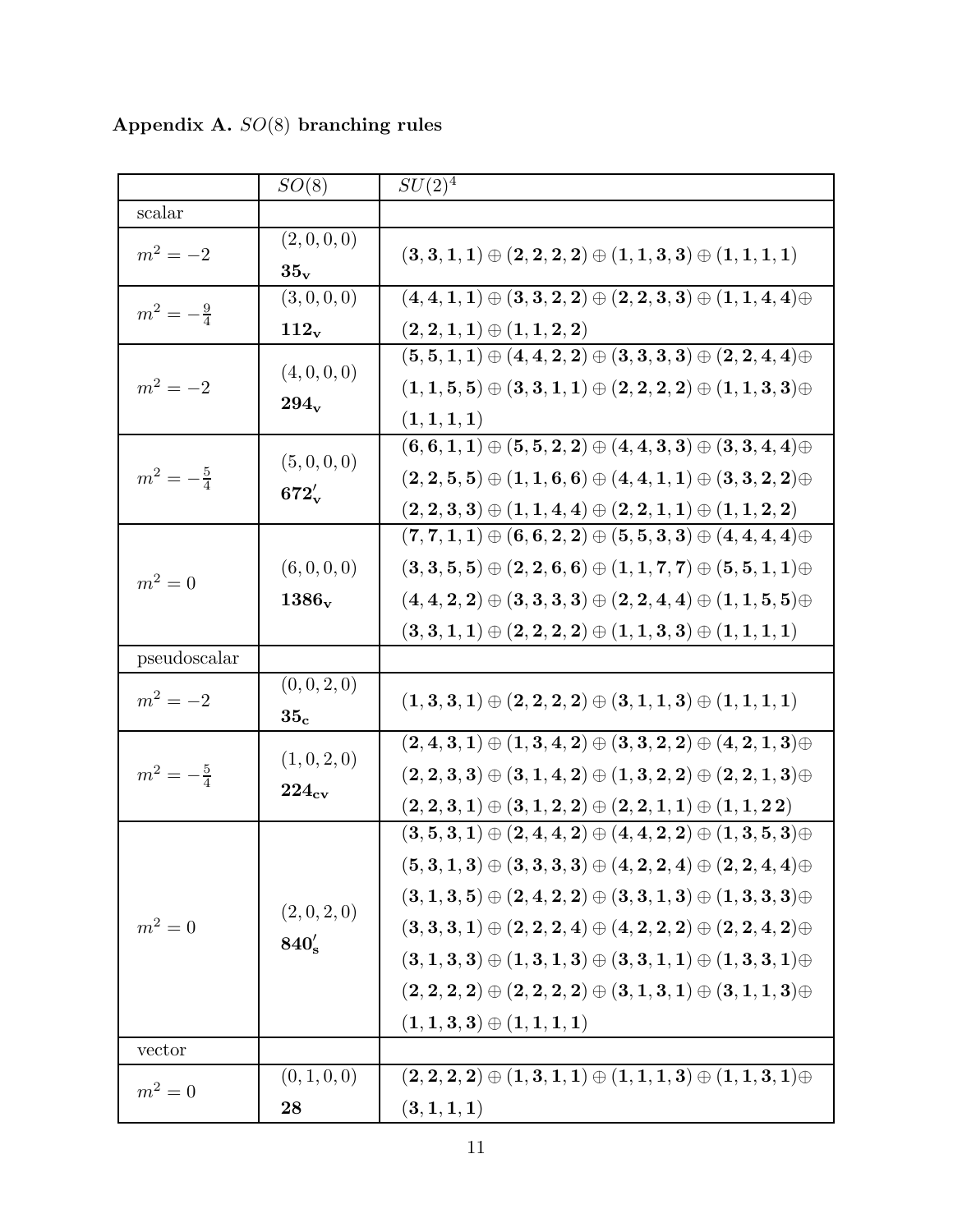|                      | $SO(8)$                     | $SU(2)^{\overline{4}}$                                                            |
|----------------------|-----------------------------|-----------------------------------------------------------------------------------|
| scalar               |                             |                                                                                   |
| $m^2 = -2$           | (2,0,0,0)                   | $(3,3,1,1) \oplus (2,2,2,2) \oplus (1,1,3,3) \oplus (1,1,1,1)$                    |
|                      | $35_v$                      |                                                                                   |
| $m^2 = -\frac{9}{4}$ | (3,0,0,0)                   | $(4,4,1,1) \oplus (3,3,2,2) \oplus (2,2,3,3) \oplus (1,1,4,4) \oplus$             |
|                      | $112_v$                     | $(2, 2, 1, 1) \oplus (1, 1, 2, 2)$                                                |
| $m^2 = -2$           | (4, 0, 0, 0)<br>$294_v$     | $(5,5,1,1) \oplus (4,4,2,2) \oplus (3,3,3,3) \oplus (2,2,4,4) \oplus$             |
|                      |                             | $(1,1,5,5) \oplus (3,3,1,1) \oplus (2,2,2,2) \oplus (1,1,3,3) \oplus$             |
|                      |                             | (1, 1, 1, 1)                                                                      |
| $m^2 = -\frac{5}{4}$ | (5, 0, 0, 0)<br>$672'_{v}$  | $(6,6,1,1) \oplus (5,5,2,2) \oplus (4,4,3,3) \oplus (3,3,4,4) \oplus$             |
|                      |                             | $(2,2,5,5) \oplus (1,1,6,6) \oplus (4,4,1,1) \oplus (3,3,2,2) \oplus$             |
|                      |                             | $(2,2,3,3) \oplus (1,1,4,4) \oplus (2,2,1,1) \oplus (1,1,2,2)$                    |
| $m^2=0$              |                             | $(7, 7, 1, 1) \oplus (6, 6, 2, 2) \oplus (5, 5, 3, 3) \oplus (4, 4, 4, 4) \oplus$ |
|                      | (6, 0, 0, 0)                | $(3,3,5,5) \oplus (2,2,6,6) \oplus (1,1,7,7) \oplus (5,5,1,1) \oplus$             |
|                      | $1386_v$                    | $(4,4,2,2) \oplus (3,3,3,3) \oplus (2,2,4,4) \oplus (1,1,5,5) \oplus$             |
|                      |                             | $(3,3,1,1) \oplus (2,2,2,2) \oplus (1,1,3,3) \oplus (1,1,1,1)$                    |
| pseudoscalar         |                             |                                                                                   |
| $m^2 = -2$           | (0, 0, 2, 0)                |                                                                                   |
|                      | 35 <sub>c</sub>             | $(1,3,3,1) \oplus (2,2,2,2) \oplus (3,1,1,3) \oplus (1,1,1,1)$                    |
| $m^2 = -\frac{5}{4}$ | (1,0,2,0)<br>$224_{\rm cv}$ | $(2,4,3,1) \oplus (1,3,4,2) \oplus (3,3,2,2) \oplus (4,2,1,3) \oplus$             |
|                      |                             | $(2,2,3,3) \oplus (3,1,4,2) \oplus (1,3,2,2) \oplus (2,2,1,3) \oplus$             |
|                      |                             | $(2,2,3,1) \oplus (3,1,2,2) \oplus (2,2,1,1) \oplus (1,1,2,2)$                    |
| $m^2=0$              | (2,0,2,0)<br>$840'_s$       | $(3,5,3,1) \oplus (2,4,4,2) \oplus (4,4,2,2) \oplus (1,3,5,3) \oplus$             |
|                      |                             | $(5,3,1,3) \oplus (3,3,3,3) \oplus (4,2,2,4) \oplus (2,2,4,4) \oplus$             |
|                      |                             | $(3,1,3,5) \oplus (2,4,2,2) \oplus (3,3,1,3) \oplus (1,3,3,3) \oplus$             |
|                      |                             | $(3,3,3,1) \oplus (2,2,2,4) \oplus (4,2,2,2) \oplus (2,2,4,2) \oplus$             |
|                      |                             |                                                                                   |
|                      |                             | $(3,1,3,3) \oplus (1,3,1,3) \oplus (3,3,1,1) \oplus (1,3,3,1) \oplus$             |
|                      |                             | $(2,2,2,2) \oplus (2,2,2,2) \oplus (3,1,3,1) \oplus (3,1,1,3) \oplus$             |
|                      |                             | $(1,1,3,3) \oplus (1,1,1,1)$                                                      |
| vector               |                             |                                                                                   |
| $m^2=0$              | (0, 1, 0, 0)                | $(2,2,2,2) \oplus (1,3,1,1) \oplus (1,1,1,3) \oplus (1,1,3,1) \oplus$             |
|                      | 28                          | (3, 1, 1, 1)                                                                      |

Appendix A. SO(8) branching rules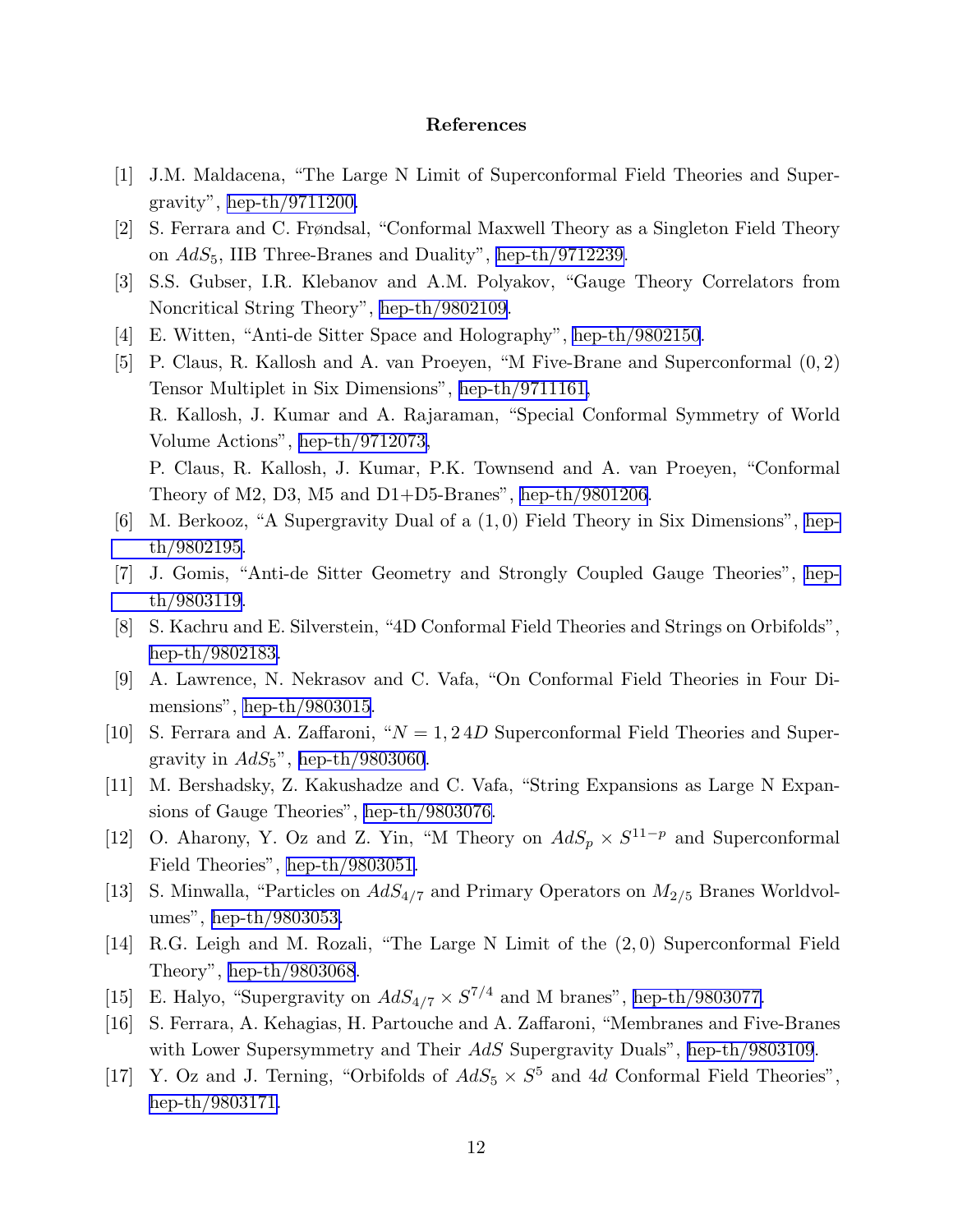### References

- <span id="page-12-0"></span>[1] J.M. Maldacena, "The Large N Limit of Superconformal Field Theories and Supergravity", [hep-th/9711200.](http://arxiv.org/abs/hep-th/9711200)
- [2] S. Ferrara and C. Frøndsal, "Conformal Maxwell Theory as a Singleton Field Theory on  $AdS_5$ , IIB Three-Branes and Duality", [hep-th/9712239.](http://arxiv.org/abs/hep-th/9712239)
- [3] S.S. Gubser, I.R. Klebanov and A.M. Polyakov, "Gauge Theory Correlators from Noncritical String Theory", [hep-th/9802109.](http://arxiv.org/abs/hep-th/9802109)
- [4] E. Witten, "Anti-de Sitter Space and Holography", [hep-th/9802150](http://arxiv.org/abs/hep-th/9802150).
- [5] P. Claus, R. Kallosh and A. van Proeyen, "M Five-Brane and Superconformal (0, 2) Tensor Multiplet in Six Dimensions", [hep-th/9711161,](http://arxiv.org/abs/hep-th/9711161) R. Kallosh, J. Kumar and A. Rajaraman, "Special Conformal Symmetry of World Volume Actions", [hep-th/9712073,](http://arxiv.org/abs/hep-th/9712073) P. Claus, R. Kallosh, J. Kumar, P.K. Townsend and A. van Proeyen, "Conformal Theory of M2, D3, M5 and D1+D5-Branes", [hep-th/9801206](http://arxiv.org/abs/hep-th/9801206).
- [6] M. Berkooz, "A Supergravity Dual of a (1, 0) Field Theory in Six Dimensions", [hep](http://arxiv.org/abs/hep-th/9802195)[th/9802195](http://arxiv.org/abs/hep-th/9802195).
- [7] J. Gomis, "Anti-de Sitter Geometry and Strongly Coupled Gauge Theories", [hep](http://arxiv.org/abs/hep-th/9803119)[th/9803119](http://arxiv.org/abs/hep-th/9803119).
- [8] S. Kachru and E. Silverstein, "4D Conformal Field Theories and Strings on Orbifolds", [hep-th/9802183.](http://arxiv.org/abs/hep-th/9802183)
- [9] A. Lawrence, N. Nekrasov and C. Vafa, "On Conformal Field Theories in Four Dimensions", [hep-th/9803015](http://arxiv.org/abs/hep-th/9803015).
- [10] S. Ferrara and A. Zaffaroni, " $N = 1, 24D$  Superconformal Field Theories and Supergravity in  $AdS_5$ ", [hep-th/9803060](http://arxiv.org/abs/hep-th/9803060).
- [11] M. Bershadsky, Z. Kakushadze and C. Vafa, "String Expansions as Large N Expansions of Gauge Theories", [hep-th/9803076.](http://arxiv.org/abs/hep-th/9803076)
- [12] O. Aharony, Y. Oz and Z. Yin, "M Theory on  $AdS_p \times S^{11-p}$  and Superconformal Field Theories", [hep-th/9803051.](http://arxiv.org/abs/hep-th/9803051)
- [13] S. Minwalla, "Particles on  $AdS_{4/7}$  and Primary Operators on  $M_{2/5}$  Branes Worldvolumes", [hep-th/9803053.](http://arxiv.org/abs/hep-th/9803053)
- [14] R.G. Leigh and M. Rozali, "The Large N Limit of the (2, 0) Superconformal Field Theory", [hep-th/9803068](http://arxiv.org/abs/hep-th/9803068).
- [15] E. Halyo, "Supergravity on  $AdS_{4/7} \times S^{7/4}$  and M branes", [hep-th/9803077.](http://arxiv.org/abs/hep-th/9803077)
- [16] S. Ferrara, A. Kehagias, H. Partouche and A. Zaffaroni, "Membranes and Five-Branes with Lower Supersymmetry and Their AdS Supergravity Duals", [hep-th/9803109](http://arxiv.org/abs/hep-th/9803109).
- [17] Y. Oz and J. Terning, "Orbifolds of  $AdS_5 \times S^5$  and 4d Conformal Field Theories", [hep-th/9803171.](http://arxiv.org/abs/hep-th/9803171)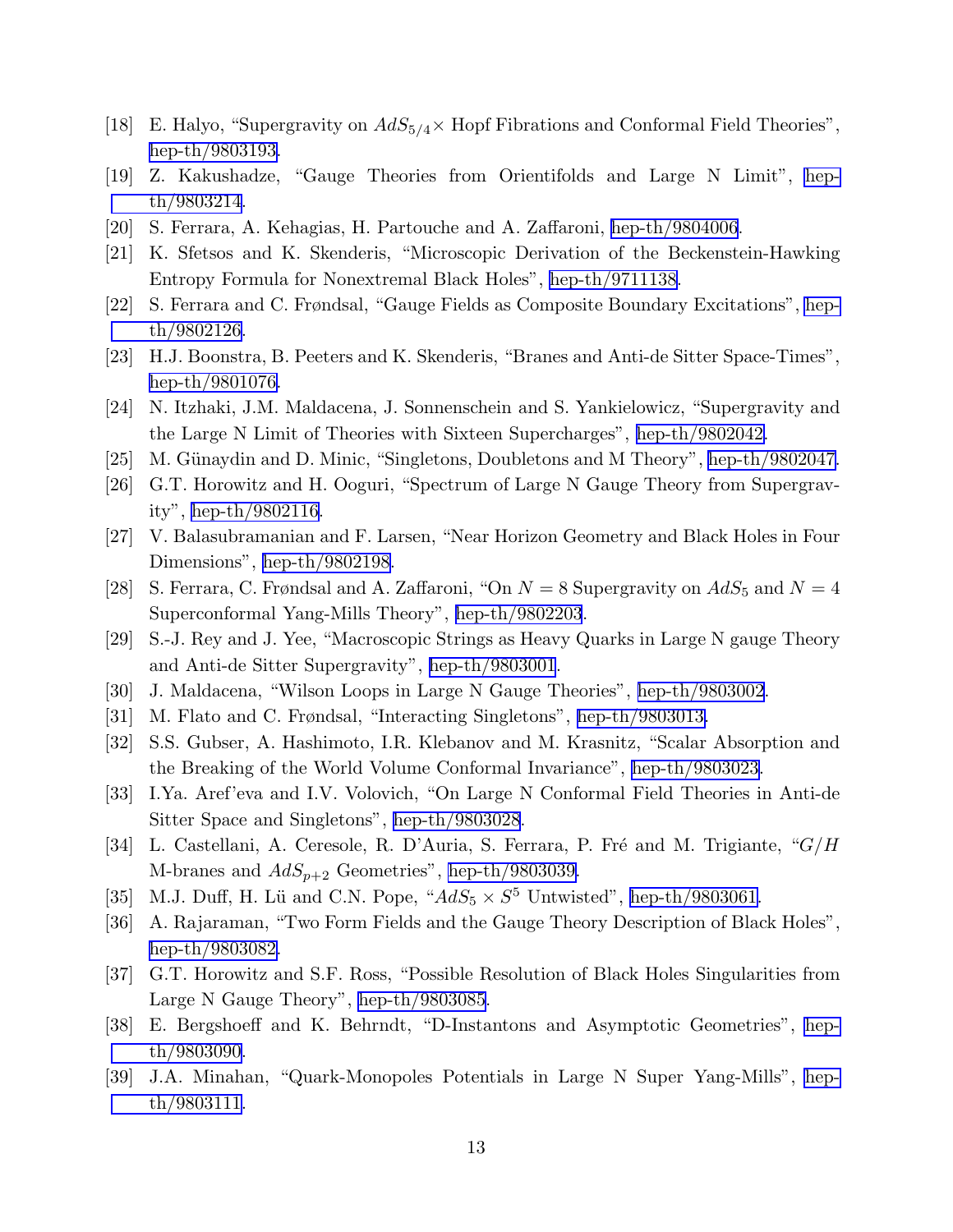- [18] E. Halyo, "Supergravity on  $AdS_{5/4} \times$  Hopf Fibrations and Conformal Field Theories", [hep-th/9803193.](http://arxiv.org/abs/hep-th/9803193)
- [19] Z. Kakushadze, "Gauge Theories from Orientifolds and Large N Limit", [hep](http://arxiv.org/abs/hep-th/9803214)[th/9803214](http://arxiv.org/abs/hep-th/9803214).
- [20] S. Ferrara, A. Kehagias, H. Partouche and A. Zaffaroni, [hep-th/9804006](http://arxiv.org/abs/hep-th/9804006).
- [21] K. Sfetsos and K. Skenderis, "Microscopic Derivation of the Beckenstein-Hawking Entropy Formula for Nonextremal Black Holes", [hep-th/9711138.](http://arxiv.org/abs/hep-th/9711138)
- [22] S. Ferrara and C. Frøndsal, "Gauge Fields as Composite Boundary Excitations", [hep](http://arxiv.org/abs/hep-th/9802126)[th/9802126](http://arxiv.org/abs/hep-th/9802126).
- [23] H.J. Boonstra, B. Peeters and K. Skenderis, "Branes and Anti-de Sitter Space-Times", [hep-th/9801076.](http://arxiv.org/abs/hep-th/9801076)
- [24] N. Itzhaki, J.M. Maldacena, J. Sonnenschein and S. Yankielowicz, "Supergravity and the Large N Limit of Theories with Sixteen Supercharges", [hep-th/9802042.](http://arxiv.org/abs/hep-th/9802042)
- [25] M. Günaydin and D. Minic, "Singletons, Doubletons and M Theory", [hep-th/9802047.](http://arxiv.org/abs/hep-th/9802047)
- [26] G.T. Horowitz and H. Ooguri, "Spectrum of Large N Gauge Theory from Supergravity", [hep-th/9802116.](http://arxiv.org/abs/hep-th/9802116)
- [27] V. Balasubramanian and F. Larsen, "Near Horizon Geometry and Black Holes in Four Dimensions", [hep-th/9802198.](http://arxiv.org/abs/hep-th/9802198)
- [28] S. Ferrara, C. Frøndsal and A. Zaffaroni, "On  $N = 8$  Supergravity on  $AdS_5$  and  $N = 4$ Superconformal Yang-Mills Theory", [hep-th/9802203](http://arxiv.org/abs/hep-th/9802203).
- [29] S.-J. Rey and J. Yee, "Macroscopic Strings as Heavy Quarks in Large N gauge Theory and Anti-de Sitter Supergravity", [hep-th/9803001](http://arxiv.org/abs/hep-th/9803001).
- [30] J. Maldacena, "Wilson Loops in Large N Gauge Theories", [hep-th/9803002](http://arxiv.org/abs/hep-th/9803002).
- [31] M. Flato and C. Frøndsal, "Interacting Singletons", [hep-th/9803013.](http://arxiv.org/abs/hep-th/9803013)
- [32] S.S. Gubser, A. Hashimoto, I.R. Klebanov and M. Krasnitz, "Scalar Absorption and the Breaking of the World Volume Conformal Invariance", [hep-th/9803023.](http://arxiv.org/abs/hep-th/9803023)
- [33] I.Ya. Aref'eva and I.V. Volovich, "On Large N Conformal Field Theories in Anti-de Sitter Space and Singletons", [hep-th/9803028](http://arxiv.org/abs/hep-th/9803028).
- [34] L. Castellani, A. Ceresole, R. D'Auria, S. Ferrara, P. Fré and M. Trigiante, " $G/H$ M-branes and  $AdS_{p+2}$  Geometries", [hep-th/9803039.](http://arxiv.org/abs/hep-th/9803039)
- [35] M.J. Duff, H. Lü and C.N. Pope, " $AdS_5 \times S^5$  Untwisted", [hep-th/9803061.](http://arxiv.org/abs/hep-th/9803061)
- [36] A. Rajaraman, "Two Form Fields and the Gauge Theory Description of Black Holes", [hep-th/9803082.](http://arxiv.org/abs/hep-th/9803082)
- [37] G.T. Horowitz and S.F. Ross, "Possible Resolution of Black Holes Singularities from Large N Gauge Theory", [hep-th/9803085](http://arxiv.org/abs/hep-th/9803085).
- [38] E. Bergshoeff and K. Behrndt, "D-Instantons and Asymptotic Geometries", [hep](http://arxiv.org/abs/hep-th/9803090)[th/9803090](http://arxiv.org/abs/hep-th/9803090).
- [39] J.A. Minahan, "Quark-Monopoles Potentials in Large N Super Yang-Mills", [hep](http://arxiv.org/abs/hep-th/9803111)[th/9803111](http://arxiv.org/abs/hep-th/9803111).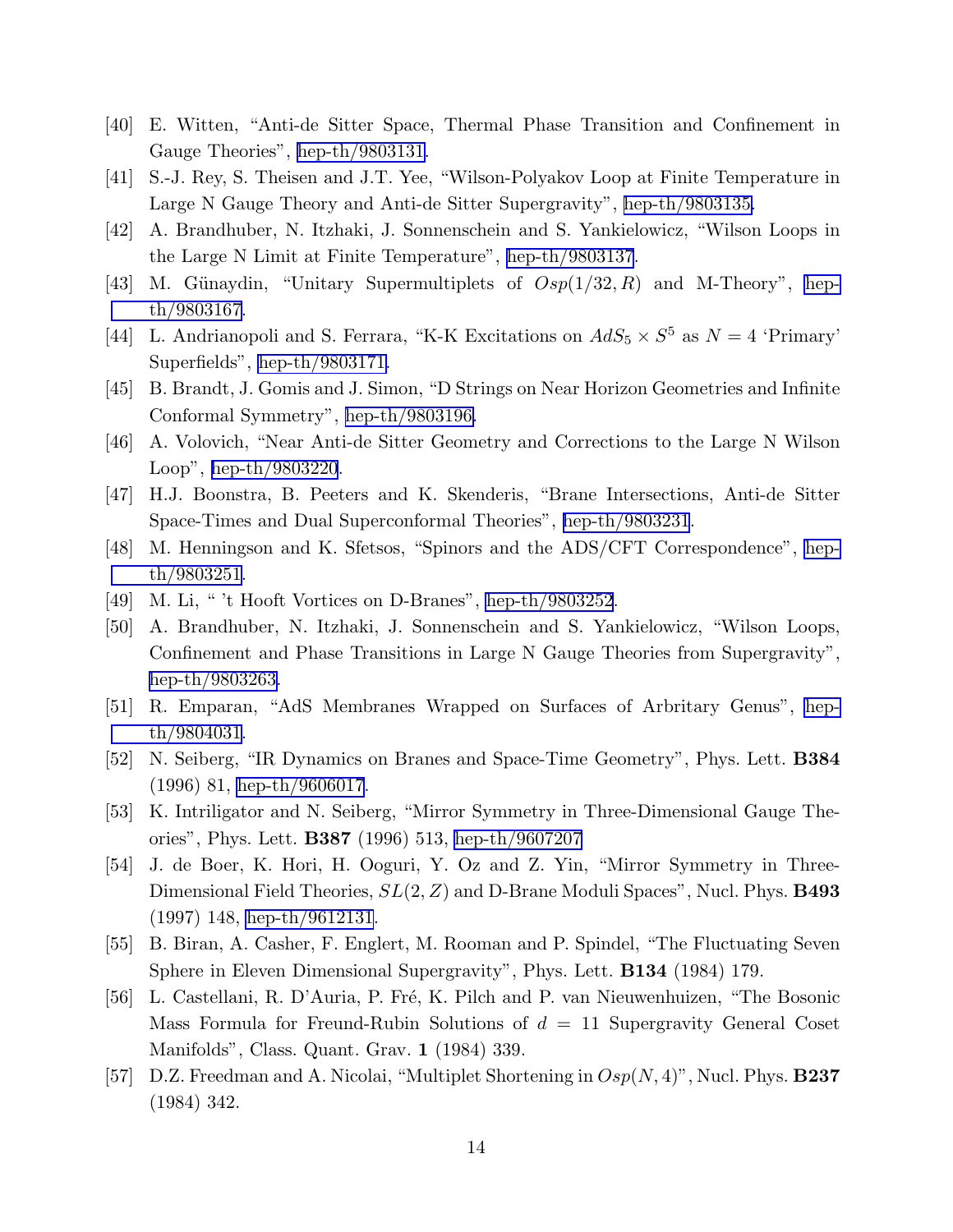- <span id="page-14-0"></span>[40] E. Witten, "Anti-de Sitter Space, Thermal Phase Transition and Confinement in Gauge Theories", [hep-th/9803131.](http://arxiv.org/abs/hep-th/9803131)
- [41] S.-J. Rey, S. Theisen and J.T. Yee, "Wilson-Polyakov Loop at Finite Temperature in Large N Gauge Theory and Anti-de Sitter Supergravity", [hep-th/9803135.](http://arxiv.org/abs/hep-th/9803135)
- [42] A. Brandhuber, N. Itzhaki, J. Sonnenschein and S. Yankielowicz, "Wilson Loops in the Large N Limit at Finite Temperature", [hep-th/9803137](http://arxiv.org/abs/hep-th/9803137).
- [43] M. Günaydin, "Unitary Supermultiplets of  $Osp(1/32, R)$  and M-Theory", [hep](http://arxiv.org/abs/hep-th/9803167)[th/9803167](http://arxiv.org/abs/hep-th/9803167).
- [44] L. Andrianopoli and S. Ferrara, "K-K Excitations on  $AdS_5 \times S^5$  as  $N = 4$  'Primary' Superfields", [hep-th/9803171.](http://arxiv.org/abs/hep-th/9803171)
- [45] B. Brandt, J. Gomis and J. Simon, "D Strings on Near Horizon Geometries and Infinite Conformal Symmetry", [hep-th/9803196.](http://arxiv.org/abs/hep-th/9803196)
- [46] A. Volovich, "Near Anti-de Sitter Geometry and Corrections to the Large N Wilson Loop", [hep-th/9803220](http://arxiv.org/abs/hep-th/9803220).
- [47] H.J. Boonstra, B. Peeters and K. Skenderis, "Brane Intersections, Anti-de Sitter Space-Times and Dual Superconformal Theories", [hep-th/9803231](http://arxiv.org/abs/hep-th/9803231).
- [48] M. Henningson and K. Sfetsos, "Spinors and the ADS/CFT Correspondence", [hep](http://arxiv.org/abs/hep-th/9803251)[th/9803251](http://arxiv.org/abs/hep-th/9803251).
- [49] M. Li, " 't Hooft Vortices on D-Branes", [hep-th/9803252](http://arxiv.org/abs/hep-th/9803252).
- [50] A. Brandhuber, N. Itzhaki, J. Sonnenschein and S. Yankielowicz, "Wilson Loops, Confinement and Phase Transitions in Large N Gauge Theories from Supergravity", [hep-th/9803263.](http://arxiv.org/abs/hep-th/9803263)
- [51] R. Emparan, "AdS Membranes Wrapped on Surfaces of Arbritary Genus", [hep](http://arxiv.org/abs/hep-th/9804031)[th/9804031](http://arxiv.org/abs/hep-th/9804031).
- [52] N. Seiberg, "IR Dynamics on Branes and Space-Time Geometry", Phys. Lett. B384 (1996) 81, [hep-th/9606017](http://arxiv.org/abs/hep-th/9606017).
- [53] K. Intriligator and N. Seiberg, "Mirror Symmetry in Three-Dimensional Gauge Theories", Phys. Lett. B387 (1996) 513, [hep-th/9607207](http://arxiv.org/abs/hep-th/9607207)
- [54] J. de Boer, K. Hori, H. Ooguri, Y. Oz and Z. Yin, "Mirror Symmetry in Three-Dimensional Field Theories,  $SL(2, Z)$  and D-Brane Moduli Spaces", Nucl. Phys. **B493** (1997) 148, [hep-th/9612131](http://arxiv.org/abs/hep-th/9612131).
- [55] B. Biran, A. Casher, F. Englert, M. Rooman and P. Spindel, "The Fluctuating Seven Sphere in Eleven Dimensional Supergravity", Phys. Lett. B134 (1984) 179.
- [56] L. Castellani, R. D'Auria, P. Fré, K. Pilch and P. van Nieuwenhuizen, "The Bosonic Mass Formula for Freund-Rubin Solutions of  $d = 11$  Supergravity General Coset Manifolds", Class. Quant. Grav. 1 (1984) 339.
- [57] D.Z. Freedman and A. Nicolai, "Multiplet Shortening in  $Osp(N, 4)$ ", Nucl. Phys. **B237** (1984) 342.